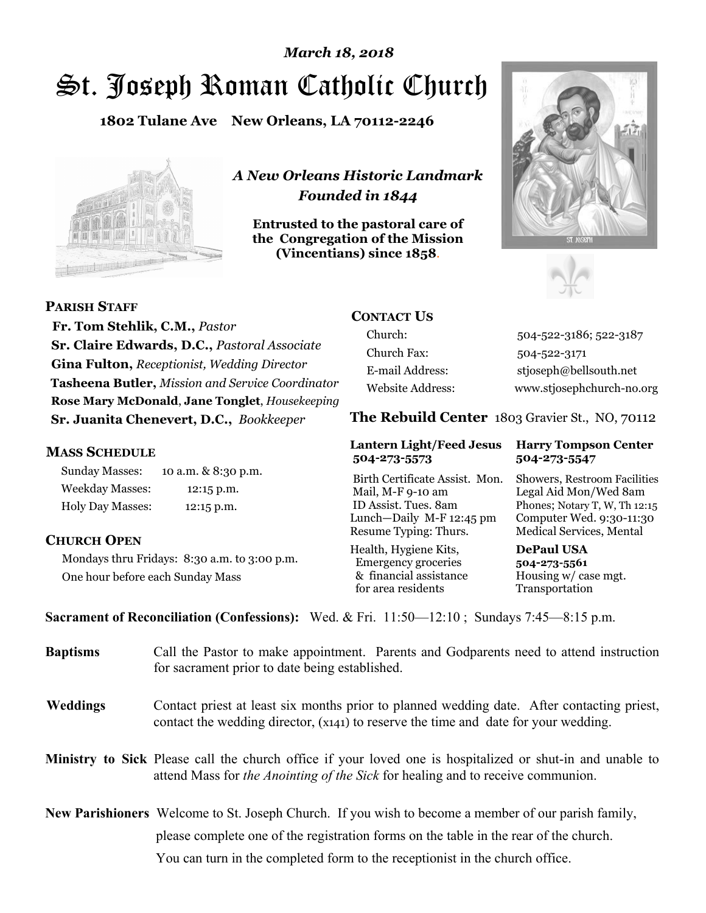# St. Joseph Roman Catholic Church *March 18, 2018*

**1802 Tulane Ave New Orleans, LA 70112-2246**



*A New Orleans Historic Landmark Founded in 1844* 

**Entrusted to the pastoral care of the Congregation of the Mission (Vincentians) since 1858**.





**PARISH STAFF**

 **Fr. Tom Stehlik, C.M.,** *Pastor* **Sr. Claire Edwards, D.C.,** *Pastoral Associate* **Gina Fulton,** *Receptionist, Wedding Director* **Tasheena Butler,** *Mission and Service Coordinator* **Rose Mary McDonald**, **Jane Tonglet**, *Housekeeping* **Sr. Juanita Chenevert, D.C.,** *Bookkeeper* 

#### **MASS SCHEDULE**

Sunday Masses: 10 a.m. & 8:30 p.m. Weekday Masses: 12:15 p.m. Holy Day Masses: 12:15 p.m.

### **CHURCH OPEN**

Mondays thru Fridays: 8:30 a.m. to 3:00 p.m. One hour before each Sunday Mass

# **CONTACT US**

Church: 504-522-3186; 522-3187 Church Fax: 504-522-3171 E-mail Address: stjoseph@bellsouth.net Website Address: www.stjosephchurch-no.org

**The Rebuild Center** 1803 Gravier St., NO, 70112

#### **Lantern Light/Feed Jesus Harry Tompson Center 504-273-5573 504-273-5547**

Birth Certificate Assist. Mon. Showers, Restroom Facilities Mail, M-F 9-10 am Legal Aid Mon/Wed 8am ID Assist. Tues. 8am Phones; Notary T, W, Th 12:15 Lunch—Daily M-F 12:45 pm Computer Wed. 9:30-11:30 Resume Typing: Thurs. Medical Services, Mental

Health, Hygiene Kits, **DePaul USA**  Emergency groceries **504-273-5561** & financial assistance Housing w/ case mgt.<br>for area residents Transportation for area residents

**Sacrament of Reconciliation (Confessions):** Wed. & Fri. 11:50—12:10 ; Sundays 7:45—8:15 p.m.

| <b>Baptisms</b> | Call the Pastor to make appointment. Parents and Godparents need to attend instruction<br>for sacrament prior to date being established.                                                            |  |  |
|-----------------|-----------------------------------------------------------------------------------------------------------------------------------------------------------------------------------------------------|--|--|
| <b>Weddings</b> | Contact priest at least six months prior to planned wedding date. After contacting priest,<br>contact the wedding director, (x141) to reserve the time and date for your wedding.                   |  |  |
|                 | <b>Ministry to Sick</b> Please call the church office if your loved one is hospitalized or shut-in and unable to<br>attend Mass for the Anointing of the Sick for healing and to receive communion. |  |  |
|                 | <b>New Parishioners</b> Welcome to St. Joseph Church. If you wish to become a member of our parish family,                                                                                          |  |  |
|                 | please complete one of the registration forms on the table in the rear of the church.                                                                                                               |  |  |
|                 | You can turn in the completed form to the reception is the church office.                                                                                                                           |  |  |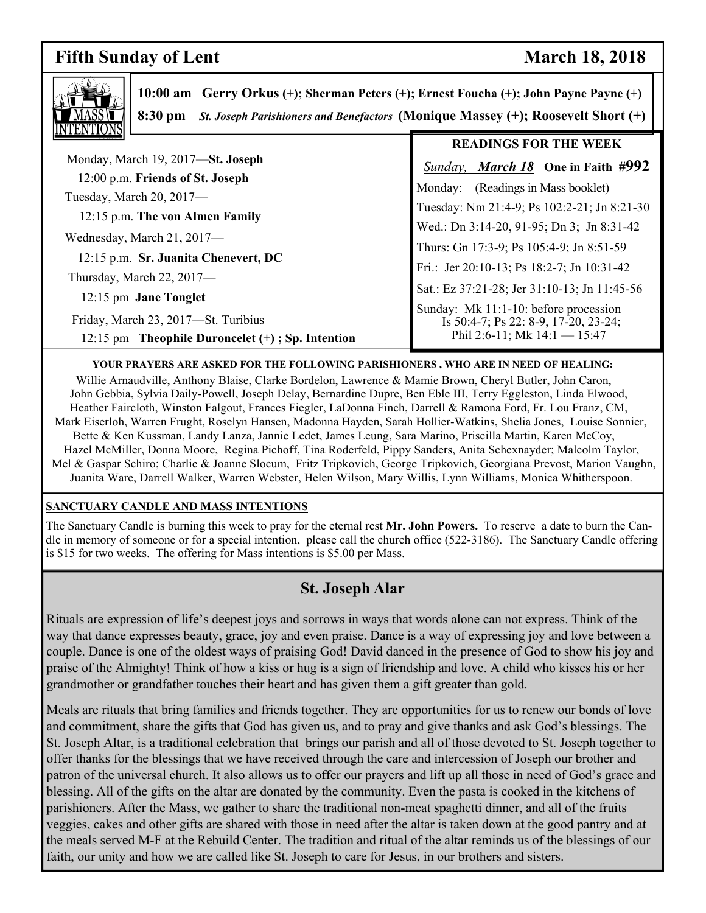# **Fifth Sunday of Lent** March 18, 2018

٦



 **10:00 am Gerry Orkus (+); Sherman Peters (+); Ernest Foucha (+); John Payne Payne (+) 8:30 pm** *St. Joseph Parishioners and Benefactors* **(Monique Massey (+); Roosevelt Short (+)** 

|                                                  | <b>READINGS FOR THE WEEK</b>                                           |
|--------------------------------------------------|------------------------------------------------------------------------|
| Monday, March 19, 2017—St. Joseph                | <b>Sunday, March 18</b> One in Faith #992                              |
| 12:00 p.m. Friends of St. Joseph                 | (Readings in Mass booklet)<br>Monday:                                  |
| Tuesday, March 20, 2017-                         |                                                                        |
| 12:15 p.m. The von Almen Family                  | Tuesday: Nm 21:4-9; Ps 102:2-21; Jn 8:21-30                            |
|                                                  | Wed.: Dn 3:14-20, 91-95; Dn 3; Jn 8:31-42                              |
| Wednesday, March 21, 2017—                       |                                                                        |
| 12:15 p.m. Sr. Juanita Chenevert, DC             | Thurs: Gn 17:3-9; Ps 105:4-9; Jn 8:51-59                               |
|                                                  | Fri.: Jer 20:10-13; Ps 18:2-7; Jn 10:31-42                             |
| Thursday, March 22, 2017-                        | Sat.: Ez 37:21-28; Jer 31:10-13; Jn 11:45-56                           |
| 12:15 pm Jane Tonglet                            |                                                                        |
| Friday, March 23, 2017—St. Turibius              | Sunday: Mk 11:1-10: before procession                                  |
|                                                  | Is 50:4-7; Ps 22: 8-9, 17-20, 23-24;<br>Phil 2:6-11; Mk $14:1 - 15:47$ |
| 12:15 pm Theophile Duroncelet (+); Sp. Intention |                                                                        |

#### **YOUR PRAYERS ARE ASKED FOR THE FOLLOWING PARISHIONERS , WHO ARE IN NEED OF HEALING:**

 Willie Arnaudville, Anthony Blaise, Clarke Bordelon, Lawrence & Mamie Brown, Cheryl Butler, John Caron, John Gebbia, Sylvia Daily-Powell, Joseph Delay, Bernardine Dupre, Ben Eble III, Terry Eggleston, Linda Elwood, Heather Faircloth, Winston Falgout, Frances Fiegler, LaDonna Finch, Darrell & Ramona Ford, Fr. Lou Franz, CM, Mark Eiserloh, Warren Frught, Roselyn Hansen, Madonna Hayden, Sarah Hollier-Watkins, Shelia Jones, Louise Sonnier, Bette & Ken Kussman, Landy Lanza, Jannie Ledet, James Leung, Sara Marino, Priscilla Martin, Karen McCoy, Hazel McMiller, Donna Moore, Regina Pichoff, Tina Roderfeld, Pippy Sanders, Anita Schexnayder; Malcolm Taylor, Mel & Gaspar Schiro; Charlie & Joanne Slocum, Fritz Tripkovich, George Tripkovich, Georgiana Prevost, Marion Vaughn, Juanita Ware, Darrell Walker, Warren Webster, Helen Wilson, Mary Willis, Lynn Williams, Monica Whitherspoon.

#### **SANCTUARY CANDLE AND MASS INTENTIONS**

The Sanctuary Candle is burning this week to pray for the eternal rest **Mr. John Powers.** To reserve a date to burn the Candle in memory of someone or for a special intention, please call the church office (522-3186). The Sanctuary Candle offering is \$15 for two weeks. The offering for Mass intentions is \$5.00 per Mass.

# **St. Joseph Alar**

Rituals are expression of life's deepest joys and sorrows in ways that words alone can not express. Think of the way that dance expresses beauty, grace, joy and even praise. Dance is a way of expressing joy and love between a couple. Dance is one of the oldest ways of praising God! David danced in the presence of God to show his joy and praise of the Almighty! Think of how a kiss or hug is a sign of friendship and love. A child who kisses his or her grandmother or grandfather touches their heart and has given them a gift greater than gold.

Meals are rituals that bring families and friends together. They are opportunities for us to renew our bonds of love and commitment, share the gifts that God has given us, and to pray and give thanks and ask God's blessings. The St. Joseph Altar, is a traditional celebration that brings our parish and all of those devoted to St. Joseph together to offer thanks for the blessings that we have received through the care and intercession of Joseph our brother and patron of the universal church. It also allows us to offer our prayers and lift up all those in need of God's grace and blessing. All of the gifts on the altar are donated by the community. Even the pasta is cooked in the kitchens of parishioners. After the Mass, we gather to share the traditional non-meat spaghetti dinner, and all of the fruits veggies, cakes and other gifts are shared with those in need after the altar is taken down at the good pantry and at the meals served M-F at the Rebuild Center. The tradition and ritual of the altar reminds us of the blessings of our faith, our unity and how we are called like St. Joseph to care for Jesus, in our brothers and sisters.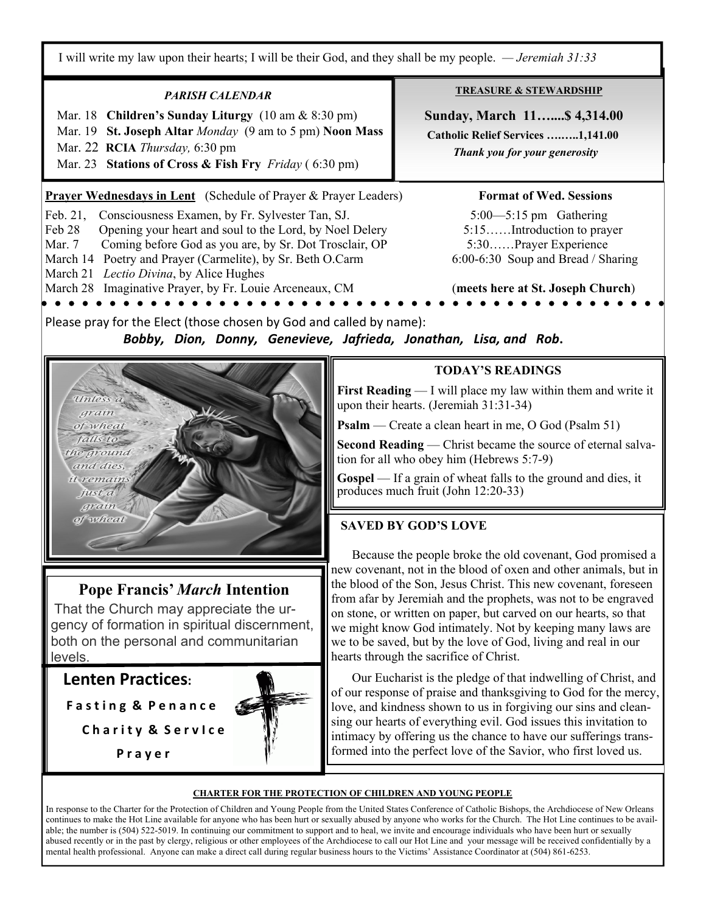I will write my law upon their hearts; I will be their God, and they shall be my people. *— Jeremiah 31:33*

### *PARISH CALENDAR*

Mar. 18 **Children's Sunday Liturgy** (10 am & 8:30 pm)

- Mar. 19 **St. Joseph Altar** *Monday* (9 am to 5 pm) **Noon Mass**
- Mar. 22 **RCIA** *Thursday,* 6:30 pm
- Mar. 23 **Stations of Cross & Fish Fry** *Friday* ( 6:30 pm)

**Prayer Wednesdays in Lent** (Schedule of Prayer & Prayer Leaders) **Format of Wed. Sessions** 

Feb. 21, Consciousness Examen, by Fr. Sylvester Tan, SJ. 5:00—5:15 pm Gathering

Feb 28 Opening your heart and soul to the Lord, by Noel Delery 5:15.......Introduction to prayer

Mar. 7 Coming before God as you are, by Sr. Dot Trosclair, OP 5:30……Prayer Experience

March 14 Poetry and Prayer (Carmelite), by Sr. Beth O.Carm 6:00-6:30 Soup and Bread / Sharing

March 21 *Lectio Divina*, by Alice Hughes

March 28 Imaginative Prayer, by Fr. Louie Arceneaux, CM (**meets here at St. Joseph Church**)

**TREASURE & STEWARDSHIP**

 **Sunday, March 11…....\$ 4,314.00 Catholic Relief Services ….…..1,141.00**   *Thank you for your generosity* 

Please pray for the Elect (those chosen by God and called by name): *Bobby, Dion, Donny, Genevieve, Jafrieda, Jonathan, Lisa, and Rob***.** 



# **Pope Francis'** *March* **Intention**

That the Church may appreciate the urgency of formation in spiritual discernment, both on the personal and communitarian levels.

**Lenten Practices:**

**F a s t i n g & P e n a n c e**

**C h a r i t y & S e r v I c e** 

 **P r a y e r**



# **TODAY'S READINGS**

**First Reading** — I will place my law within them and write it upon their hearts. (Jeremiah 31:31-34)

**Psalm** — Create a clean heart in me, O God (Psalm 51)

**Second Reading** — Christ became the source of eternal salvation for all who obey him (Hebrews 5:7-9)

**Gospel** — If a grain of wheat falls to the ground and dies, it produces much fruit (John 12:20-33)

# **SAVED BY GOD'S LOVE**

 Because the people broke the old covenant, God promised a new covenant, not in the blood of oxen and other animals, but in the blood of the Son, Jesus Christ. This new covenant, foreseen from afar by Jeremiah and the prophets, was not to be engraved on stone, or written on paper, but carved on our hearts, so that we might know God intimately. Not by keeping many laws are we to be saved, but by the love of God, living and real in our hearts through the sacrifice of Christ.

 Our Eucharist is the pledge of that indwelling of Christ, and of our response of praise and thanksgiving to God for the mercy, love, and kindness shown to us in forgiving our sins and cleansing our hearts of everything evil. God issues this invitation to intimacy by offering us the chance to have our sufferings transformed into the perfect love of the Savior, who first loved us.

#### **CHARTER FOR THE PROTECTION OF CHILDREN AND YOUNG PEOPLE**

In response to the Charter for the Protection of Children and Young People from the United States Conference of Catholic Bishops, the Archdiocese of New Orleans continues to make the Hot Line available for anyone who has been hurt or sexually abused by anyone who works for the Church. The Hot Line continues to be available; the number is (504) 522-5019. In continuing our commitment to support and to heal, we invite and encourage individuals who have been hurt or sexually abused recently or in the past by clergy, religious or other employees of the Archdiocese to call our Hot Line and your message will be received confidentially by a mental health professional. Anyone can make a direct call during regular business hours to the Victims' Assistance Coordinator at (504) 861-6253.